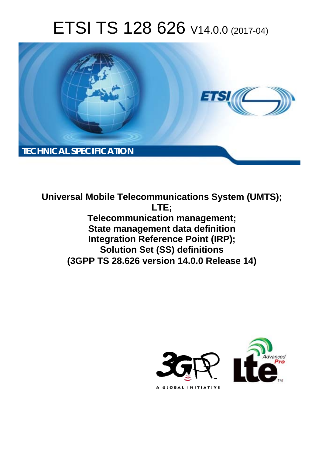# ETSI TS 128 626 V14.0.0 (2017-04)



**Universal Mobile Telecommunications System (UMTS); LTE; Telecommunication management; State management data definition Integration Reference Point (IRP); Solution Set (SS) definitions (3GPP TS 28.626 version 14.0.0 Release 14)** 

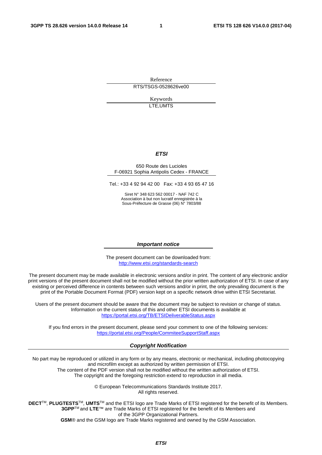Reference RTS/TSGS-0528626ve00

> Keywords LTE,UMTS

#### *ETSI*

#### 650 Route des Lucioles F-06921 Sophia Antipolis Cedex - FRANCE

Tel.: +33 4 92 94 42 00 Fax: +33 4 93 65 47 16

Siret N° 348 623 562 00017 - NAF 742 C Association à but non lucratif enregistrée à la Sous-Préfecture de Grasse (06) N° 7803/88

#### *Important notice*

The present document can be downloaded from: <http://www.etsi.org/standards-search>

The present document may be made available in electronic versions and/or in print. The content of any electronic and/or print versions of the present document shall not be modified without the prior written authorization of ETSI. In case of any existing or perceived difference in contents between such versions and/or in print, the only prevailing document is the print of the Portable Document Format (PDF) version kept on a specific network drive within ETSI Secretariat.

Users of the present document should be aware that the document may be subject to revision or change of status. Information on the current status of this and other ETSI documents is available at <https://portal.etsi.org/TB/ETSIDeliverableStatus.aspx>

If you find errors in the present document, please send your comment to one of the following services: <https://portal.etsi.org/People/CommiteeSupportStaff.aspx>

#### *Copyright Notification*

No part may be reproduced or utilized in any form or by any means, electronic or mechanical, including photocopying and microfilm except as authorized by written permission of ETSI. The content of the PDF version shall not be modified without the written authorization of ETSI.

The copyright and the foregoing restriction extend to reproduction in all media.

© European Telecommunications Standards Institute 2017. All rights reserved.

**DECT**TM, **PLUGTESTS**TM, **UMTS**TM and the ETSI logo are Trade Marks of ETSI registered for the benefit of its Members. **3GPP**TM and **LTE**™ are Trade Marks of ETSI registered for the benefit of its Members and of the 3GPP Organizational Partners.

**GSM**® and the GSM logo are Trade Marks registered and owned by the GSM Association.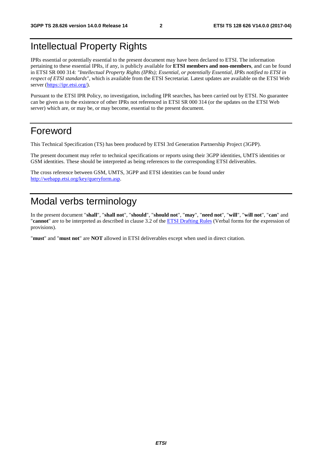#### Intellectual Property Rights

IPRs essential or potentially essential to the present document may have been declared to ETSI. The information pertaining to these essential IPRs, if any, is publicly available for **ETSI members and non-members**, and can be found in ETSI SR 000 314: *"Intellectual Property Rights (IPRs); Essential, or potentially Essential, IPRs notified to ETSI in respect of ETSI standards"*, which is available from the ETSI Secretariat. Latest updates are available on the ETSI Web server ([https://ipr.etsi.org/\)](https://ipr.etsi.org/).

Pursuant to the ETSI IPR Policy, no investigation, including IPR searches, has been carried out by ETSI. No guarantee can be given as to the existence of other IPRs not referenced in ETSI SR 000 314 (or the updates on the ETSI Web server) which are, or may be, or may become, essential to the present document.

#### Foreword

This Technical Specification (TS) has been produced by ETSI 3rd Generation Partnership Project (3GPP).

The present document may refer to technical specifications or reports using their 3GPP identities, UMTS identities or GSM identities. These should be interpreted as being references to the corresponding ETSI deliverables.

The cross reference between GSM, UMTS, 3GPP and ETSI identities can be found under [http://webapp.etsi.org/key/queryform.asp.](http://webapp.etsi.org/key/queryform.asp)

#### Modal verbs terminology

In the present document "**shall**", "**shall not**", "**should**", "**should not**", "**may**", "**need not**", "**will**", "**will not**", "**can**" and "**cannot**" are to be interpreted as described in clause 3.2 of the [ETSI Drafting Rules](https://portal.etsi.org/Services/editHelp!/Howtostart/ETSIDraftingRules.aspx) (Verbal forms for the expression of provisions).

"**must**" and "**must not**" are **NOT** allowed in ETSI deliverables except when used in direct citation.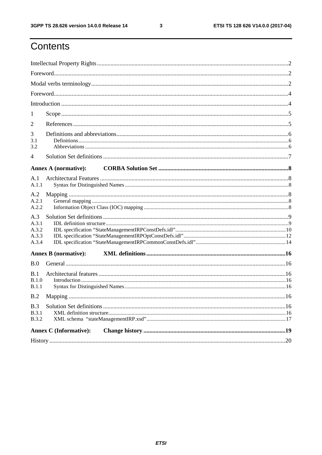ETSI TS 128 626 V14.0.0 (2017-04)

## Contents

| 1                                       |  |  |  |  |  |  |  |
|-----------------------------------------|--|--|--|--|--|--|--|
| $\overline{2}$                          |  |  |  |  |  |  |  |
| 3<br>3.1<br>3.2                         |  |  |  |  |  |  |  |
| $\overline{4}$                          |  |  |  |  |  |  |  |
| <b>Annex A (normative):</b>             |  |  |  |  |  |  |  |
| A.1<br>A.1.1                            |  |  |  |  |  |  |  |
| A.2<br>A.2.1<br>A.2.2                   |  |  |  |  |  |  |  |
| A.3<br>A.3.1<br>A.3.2<br>A.3.3<br>A.3.4 |  |  |  |  |  |  |  |
| <b>Annex B</b> (normative):             |  |  |  |  |  |  |  |
| B.0                                     |  |  |  |  |  |  |  |
| B.1<br>B.1.0<br>B.1.1                   |  |  |  |  |  |  |  |
| B.2                                     |  |  |  |  |  |  |  |
| B.3<br>B.3.1<br><b>B.3.2</b>            |  |  |  |  |  |  |  |
| <b>Annex C</b> (Informative):           |  |  |  |  |  |  |  |
|                                         |  |  |  |  |  |  |  |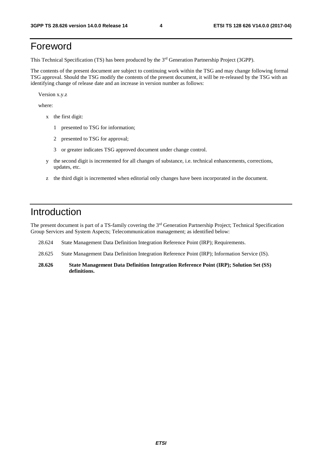#### Foreword

This Technical Specification (TS) has been produced by the 3rd Generation Partnership Project (3GPP).

The contents of the present document are subject to continuing work within the TSG and may change following formal TSG approval. Should the TSG modify the contents of the present document, it will be re-released by the TSG with an identifying change of release date and an increase in version number as follows:

Version x.y.z

where:

- x the first digit:
	- 1 presented to TSG for information;
	- 2 presented to TSG for approval;
	- 3 or greater indicates TSG approved document under change control.
- y the second digit is incremented for all changes of substance, i.e. technical enhancements, corrections, updates, etc.
- z the third digit is incremented when editorial only changes have been incorporated in the document.

#### Introduction

The present document is part of a TS-family covering the 3<sup>rd</sup> Generation Partnership Project; Technical Specification Group Services and System Aspects; Telecommunication management; as identified below:

- 28.624 State Management Data Definition Integration Reference Point (IRP); Requirements.
- 28.625 State Management Data Definition Integration Reference Point (IRP); Information Service (IS).
- **28.626 State Management Data Definition Integration Reference Point (IRP); Solution Set (SS) definitions.**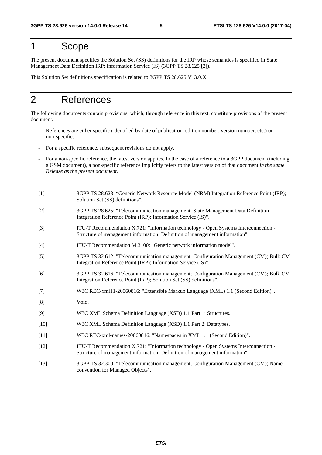#### 1 Scope

The present document specifies the Solution Set (SS) definitions for the IRP whose semantics is specified in State Management Data Definition IRP: Information Service (IS) (3GPP TS 28.625 [2]).

This Solution Set definitions specification is related to 3GPP TS 28.625 V13.0.X.

#### 2 References

The following documents contain provisions, which, through reference in this text, constitute provisions of the present document.

- References are either specific (identified by date of publication, edition number, version number, etc.) or non-specific.
- For a specific reference, subsequent revisions do not apply.
- For a non-specific reference, the latest version applies. In the case of a reference to a 3GPP document (including a GSM document), a non-specific reference implicitly refers to the latest version of that document *in the same Release as the present document*.
- [1] 3GPP TS 28.623: "Generic Network Resource Model (NRM) Integration Reference Point (IRP); Solution Set (SS) definitions".
- [2] 3GPP TS 28.625: "Telecommunication management; State Management Data Definition Integration Reference Point (IRP): Information Service (IS)".
- [3] ITU-T Recommendation X.721: "Information technology Open Systems Interconnection Structure of management information: Definition of management information".
- [4] ITU-T Recommendation M.3100: "Generic network information model".
- [5] 3GPP TS 32.612: "Telecommunication management; Configuration Management (CM); Bulk CM Integration Reference Point (IRP); Information Service (IS)".
- [6] 3GPP TS 32.616: "Telecommunication management; Configuration Management (CM); Bulk CM Integration Reference Point (IRP); Solution Set (SS) definitions".
- [7] W3C REC-xml11-20060816: "Extensible Markup Language (XML) 1.1 (Second Edition)".
- [8] Void.
- [9] W3C XML Schema Definition Language (XSD) 1.1 Part 1: Structures..
- [10] W3C XML Schema Definition Language (XSD) 1.1 Part 2: Datatypes.
- [11] W3C REC-xml-names-20060816: "Namespaces in XML 1.1 (Second Edition)".
- [12] ITU-T Recommendation X.721: "Information technology Open Systems Interconnection Structure of management information: Definition of management information".
- [13] 3GPP TS 32.300: "Telecommunication management; Configuration Management (CM); Name convention for Managed Objects".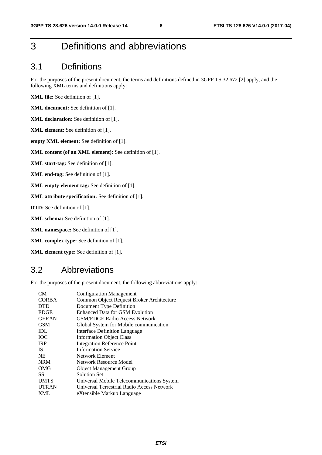## 3 Definitions and abbreviations

#### 3.1 Definitions

For the purposes of the present document, the terms and definitions defined in 3GPP TS 32.672 [2] apply, and the following XML terms and definitions apply:

**XML file:** See definition of [1].

**XML document:** See definition of [1].

**XML declaration:** See definition of [1].

**XML element:** See definition of [1].

**empty XML element:** See definition of [1].

**XML content (of an XML element):** See definition of [1].

**XML start-tag:** See definition of [1].

**XML end-tag:** See definition of [1].

**XML empty-element tag:** See definition of [1].

**XML attribute specification:** See definition of [1].

**DTD:** See definition of [1].

**XML schema:** See definition of [1].

**XML namespace:** See definition of [1].

**XML complex type:** See definition of [1].

**XML element type:** See definition of [1].

#### 3.2 Abbreviations

For the purposes of the present document, the following abbreviations apply:

| CM <sub></sub> | <b>Configuration Management</b>            |
|----------------|--------------------------------------------|
| <b>CORBA</b>   | Common Object Request Broker Architecture  |
| <b>DTD</b>     | Document Type Definition                   |
| <b>EDGE</b>    | Enhanced Data for GSM Evolution            |
| <b>GERAN</b>   | <b>GSM/EDGE Radio Access Network</b>       |
| <b>GSM</b>     | Global System for Mobile communication     |
| IDL            | Interface Definition Language              |
| <b>TOC</b>     | <b>Information Object Class</b>            |
| <b>IRP</b>     | <b>Integration Reference Point</b>         |
| <b>IS</b>      | <b>Information Service</b>                 |
| <b>NE</b>      | Network Element                            |
| <b>NRM</b>     | Network Resource Model                     |
| OMG            | <b>Object Management Group</b>             |
| SS             | Solution Set                               |
| <b>UMTS</b>    | Universal Mobile Telecommunications System |
| <b>UTRAN</b>   | Universal Terrestrial Radio Access Network |
| XML            | eXtensible Markup Language                 |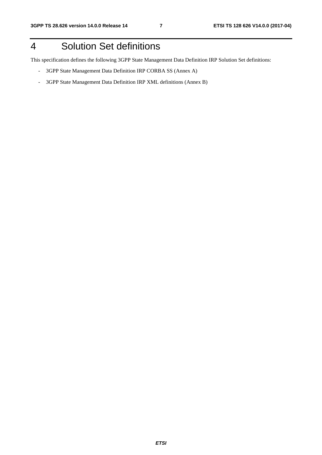### 4 Solution Set definitions

This specification defines the following 3GPP State Management Data Definition IRP Solution Set definitions:

- 3GPP State Management Data Definition IRP CORBA SS (Annex A)
- 3GPP State Management Data Definition IRP XML definitions (Annex B)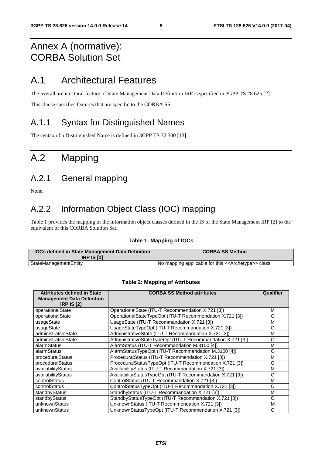#### Annex A (normative): CORBA Solution Set

#### A.1 Architectural Features

The overall architectural feature of State Management Data Definition IRP is specified in 3GPP TS 28.625 [2].

This clause specifies features that are specific to the CORBA SS.

#### A.1.1 Syntax for Distinguished Names

The syntax of a Distinguished Name is defined in 3GPP TS 32.300 [13].

### A.2 Mapping

#### A.2.1 General mapping

None.

#### A.2.2 Information Object Class (IOC) mapping

Table 1 provides the mapping of the information object classes defined in the IS of the State Management IRP [2] to the equivalent of this CORBA Solution Set.

#### **Table 1: Mapping of IOCs**

| <b>IOCs defined in State Management Data Definition</b><br><b>IRP IS [2]</b> | <b>CORBA SS Method</b>                                                |
|------------------------------------------------------------------------------|-----------------------------------------------------------------------|
| StateManagementEntity                                                        | I No mapping applicable for this < <archetype>&gt; class.</archetype> |

#### **Table 2: Mapping of Attributes**

| <b>Attributes defined in State</b><br><b>Management Data Definition</b><br><b>IRP IS [2]</b> | <b>CORBA SS Method attributes</b>                           | Qualifier |
|----------------------------------------------------------------------------------------------|-------------------------------------------------------------|-----------|
| operationalState                                                                             | OperationalState (ITU-T Recommendation X.721 [3])           | м         |
| operationalState                                                                             | OperationalStateTypeOpt (ITU-T Recommendation X.721 [3])    | O         |
| usageState                                                                                   | UsageState (ITU-T Recommandation X.721 [3])                 | M         |
| usageState                                                                                   | UsageStateTypeOpt (ITU-T Recommandation X.721 [3])          | O         |
| administrativeState                                                                          | AdministrativeState (ITU-T Recommandation X.721 [3])        | M         |
| administrativeState                                                                          | AdministrativeStateTypeOpt (ITU-T Recommandation X.721 [3]) | O         |
| alarmStatus                                                                                  | AlarmStatus (ITU-T Recommandation M.3100 [4])               | M         |
| alarmStatus                                                                                  | AlarmStatusTypeOpt (ITU-T Recommendation M.3100 [4])        | O         |
| proceduralStatus                                                                             | ProceduralStatus (ITU-T Recommendation X.721 [3])           | м         |
| proceduralStatus                                                                             | ProceduralStatusTypeOpt (ITU-T Recommendation X.721 [3])    | O         |
| availabilityStatus                                                                           | AvailabilityStatus (ITU-T Recommandation X.721 [3])         | м         |
| availabilityStatus                                                                           | AvailabilityStatusTypeOpt (ITU-T Recommandation X.721 [3])  | O         |
| controlStatus                                                                                | ControlStatus (ITU-T Recommandation X.721 [3])              | м         |
| controlStatus                                                                                | ControlStatusTypeOpt (ITU-T Recommandation X.721 [3])       | O         |
| standbyStatus                                                                                | StandbyStatus (ITU-T Recommandation X.721 [3])              | м         |
| standbyStatus                                                                                | StandbyStatusTypeOpt (ITU-T Recommandation X.721 [3])       | O         |
| unknownStatus                                                                                | UnknownStatus (ITU-T Recommendation X.721 [3])              | M         |
| unknownStatus                                                                                | UnknownStatusTypeOpt (ITU-T Recommendation X.721 [3])       | O         |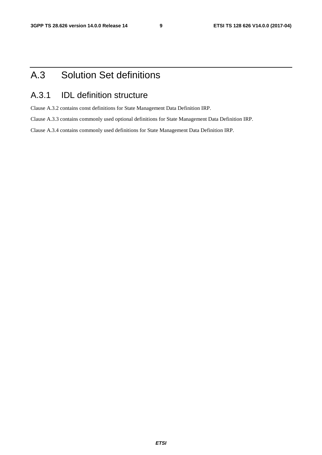## A.3 Solution Set definitions

#### A.3.1 IDL definition structure

Clause A.3.2 contains const definitions for State Management Data Definition IRP.

Clause A.3.3 contains commonly used optional definitions for State Management Data Definition IRP.

Clause A.3.4 contains commonly used definitions for State Management Data Definition IRP.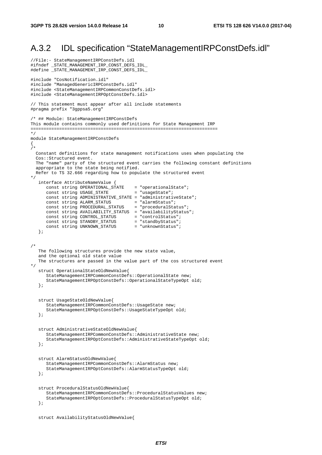#### A.3.2 IDL specification "StateManagementIRPConstDefs.idl"

```
//File:- StateManagementIRPConstDefs.idl 
#ifndef _STATE_MANAGEMENT_IRP_CONST_DEFS_IDL_ 
#define _STATE_MANAGEMENT_IRP_CONST_DEFS_IDL_ 
#include "CosNotification.idl" 
#include "ManagedGenericIRPConstDefs.idl" 
#include <StateManagementIRPCommonConstDefs.idl> 
#include <StateManagementIRPOptConstDefs.idl> 
// This statement must appear after all include statements 
#pragma prefix "3gppsa5.org" 
/* ## Module: StateManagementIRPConstDefs 
This module contains commonly used definitions for State Management IRP 
======================================================================== 
*/ 
module StateManagementIRPConstDefs 
{ 
/* 
   Constant definitions for state management notifications uses when populating the 
   Cos::Structured event. 
   The "name" party of the structured event carries the following constant definitions 
   appropriate to the state being notified. 
   Refer to TS 32.666 regarding how to populate the structured event 
*/ 
    interface AttributeNameValue { 
 const string OPERATIONAL_STATE = "operationalState"; 
const string USAGE_STATE = "usageState";
       const string ADMINISTRATIVE_STATE = "administrativeState"; 
      const string ALARM_STATUS = "alarmStatus";
      const string PROCEDURAL_STATUS = "proceduralStatus";
       const string AVAILABILITY_STATUS = "availabilityStatus"; 
      const string CONTROL_STATUS = "controlStatus";<br>
const string STANDBY_STATUS = "standbyStatus";<br>
const string UNKNOWN_STATUS = "unknownStatus";
      const string STANDBY_STATUS
      const string UNKNOWN_STATUS
    }; 
/* 
    The following structures provide the new state value, 
    and the optional old state value 
    The structures are passed in the value part of the cos structured event 
*/ 
    struct OperationalStateOldNewValue{ 
       StateManagementIRPCommonConstDefs::OperationalState new; 
       StateManagementIRPOptConstDefs::OperationalStateTypeOpt old; 
    }; 
    struct UsageStateOldNewValue{ 
       StateManagementIRPCommonConstDefs::UsageState new; 
       StateManagementIRPOptConstDefs::UsageStateTypeOpt old; 
    }; 
    struct AdministrativeStateOldNewValue{ 
       StateManagementIRPCommonConstDefs::AdministrativeState new; 
       StateManagementIRPOptConstDefs::AdministrativeStateTypeOpt old; 
    }; 
    struct AlarmStatusOldNewValue{ 
       StateManagementIRPCommonConstDefs::AlarmStatus new; 
       StateManagementIRPOptConstDefs::AlarmStatusTypeOpt old; 
    }; 
    struct ProceduralStatusOldNewValue{ 
       StateManagementIRPCommonConstDefs::ProceduralStatusValues new; 
       StateManagementIRPOptConstDefs::ProceduralStatusTypeOpt old; 
    }; 
    struct AvailabilityStatusOldNewValue{
```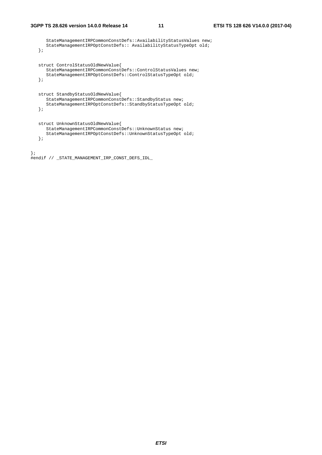StateManagementIRPCommonConstDefs::AvailabilityStatusValues new; StateManagementIRPOptConstDefs:: AvailabilityStatusTypeOpt old; }; struct ControlStatusOldNewValue{ StateManagementIRPCommonConstDefs::ControlStatusValues new; StateManagementIRPOptConstDefs::ControlStatusTypeOpt old; }; struct StandbyStatusOldNewValue{ StateManagementIRPCommonConstDefs::StandbyStatus new; StateManagementIRPOptConstDefs::StandbyStatusTypeOpt old; }; struct UnknownStatusOldNewValue{ StateManagementIRPCommonConstDefs::UnknownStatus new; StateManagementIRPOptConstDefs::UnknownStatusTypeOpt old; }; };

```
#endif // _STATE_MANAGEMENT_IRP_CONST_DEFS_IDL_
```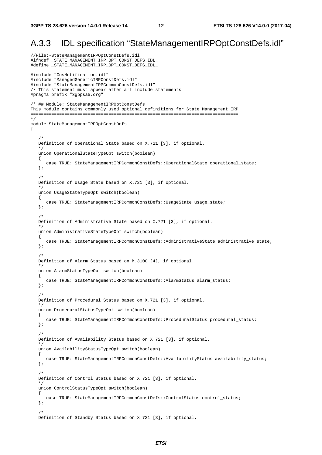#### A.3.3 IDL specification "StateManagementIRPOptConstDefs.idl"

```
//File:-StateManagementIRPOptConstDefs.idl 
#ifndef _STATE_MANAGEMENT_IRP_OPT_CONST_DEFS_IDL_ 
#define _STATE_MANAGEMENT_IRP_OPT_CONST_DEFS_IDL_ 
#include "CosNotification.idl" 
#include "ManagedGenericIRPConstDefs.idl" 
#include "StateManagementIRPCommonConstDefs.idl" 
// This statement must appear after all include statements 
#pragma prefix "3gppsa5.org" 
/* ## Module: StateManagementIRPOptConstDefs 
This module contains commonly used optional definitions for State Management IRP 
================================================================================ 
*/ 
module StateManagementIRPOptConstDefs 
\left\{ \right. /* 
    Definition of Operational State based on X.721 [3], if optional. 
 */ 
    union OperationalStateTypeOpt switch(boolean) 
    { 
      case TRUE: StateManagementIRPCommonConstDefs: : OperationalState operational_state;
    }; 
/ *
    Definition of Usage State based on X.721 [3], if optional. 
 */ 
    union UsageStateTypeOpt switch(boolean) 
    { 
       case TRUE: StateManagementIRPCommonConstDefs::UsageState usage_state; 
    }; 
    /* 
    Definition of Administrative State based on X.721 [3], if optional. 
    */ 
    union AdministrativeStateTypeOpt switch(boolean) 
    { 
      case TRUE: StateManagementIRPCommonConstDefs::AdministrativeState administrative state;
    }; 
    /* 
    Definition of Alarm Status based on M.3100 [4], if optional. 
 */ 
    union AlarmStatusTypeOpt switch(boolean) 
    { 
       case TRUE: StateManagementIRPCommonConstDefs::AlarmStatus alarm_status; 
    }; 
    /* 
    Definition of Procedural Status based on X.721 [3], if optional. 
    */ 
    union ProceduralStatusTypeOpt switch(boolean) 
    { 
      case TRUE: StateManagementIRPCommonConstDefs::ProceduralStatus procedural_status;
    }; 
    /* 
    Definition of Availability Status based on X.721 [3], if optional. 
 */ 
    union AvailabilityStatusTypeOpt switch(boolean) 
    { 
       case TRUE: StateManagementIRPCommonConstDefs::AvailabilityStatus availability_status; 
    }; 
    /* 
    Definition of Control Status based on X.721 [3], if optional. 
 */ 
    union ControlStatusTypeOpt switch(boolean) 
    { 
       case TRUE: StateManagementIRPCommonConstDefs::ControlStatus control_status; 
    }; 
/ *
    Definition of Standby Status based on X.721 [3], if optional.
```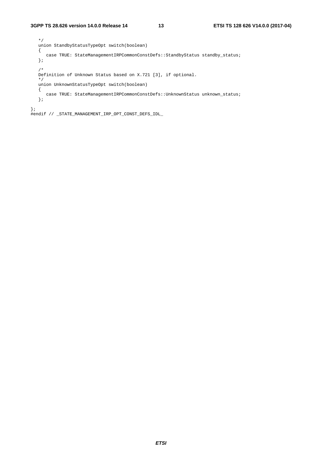```
 */ 
   union StandbyStatusTypeOpt switch(boolean) 
    { 
     case TRUE: StateManagementIRPCommonConstDefs::StandbyStatus standby_status;
    }; 
    /* 
   Definition of Unknown Status based on X.721 [3], if optional. 
    */ 
   union UnknownStatusTypeOpt switch(boolean) 
    { 
     case TRUE: StateManagementIRPCommonConstDefs::UnknownStatus unknown_status;
    }; 
};
```
#endif // \_STATE\_MANAGEMENT\_IRP\_OPT\_CONST\_DEFS\_IDL\_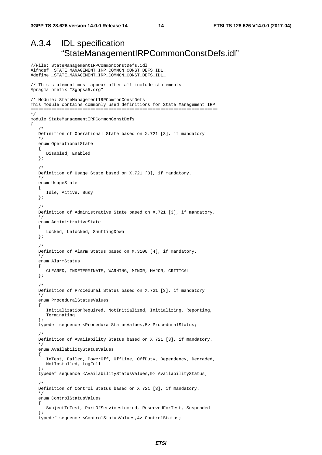//File: StateManagementIRPCommonConstDefs.idl

#### A.3.4 IDL specification "StateManagementIRPCommonConstDefs.idl"

```
#ifndef _STATE_MANAGEMENT_IRP_COMMON_CONST_DEFS_IDL_ 
#define _STATE_MANAGEMENT_IRP_COMMON_CONST_DEFS_IDL_ 
// This statement must appear after all include statements 
#pragma prefix "3gppsa5.org" 
/* Module: StateManagementIRPCommonConstDefs 
This module contains commonly used definitions for State Management IRP 
======================================================================== 
*/ 
module StateManagementIRPCommonConstDefs 
{ 
/ *
    Definition of Operational State based on X.721 [3], if mandatory. 
 */ 
    enum OperationalState 
    { 
       Disabled, Enabled 
    }; 
    /* 
    Definition of Usage State based on X.721 [3], if mandatory. 
    */ 
    enum UsageState 
    { 
       Idle, Active, Busy 
    }; 
/ *
    Definition of Administrative State based on X.721 [3], if mandatory. 
 */ 
    enum AdministrativeState 
    { 
       Locked, Unlocked, ShuttingDown 
    }; 
    /* 
    Definition of Alarm Status based on M.3100 [4], if mandatory. 
    */ 
    enum AlarmStatus 
    { 
       CLEARED, INDETERMINATE, WARNING, MINOR, MAJOR, CRITICAL 
    }; 
    /* 
    Definition of Procedural Status based on X.721 [3], if mandatory. 
 */ 
    enum ProceduralStatusValues 
    { 
       InitializationRequired, NotInitialized, Initializing, Reporting, 
       Terminating 
    }; 
    typedef sequence <ProceduralStatusValues,5> ProceduralStatus; 
    /* 
    Definition of Availability Status based on X.721 [3], if mandatory. 
    */ 
    enum AvailabilityStatusValues 
    { 
       InTest, Failed, PowerOff, OffLine, OffDuty, Dependency, Degraded, 
       NotInstalled, LogFull 
    }; 
    typedef sequence <AvailabilityStatusValues,9> AvailabilityStatus; 
/ *
    Definition of Control Status based on X.721 [3], if mandatory. 
    */ 
    enum ControlStatusValues 
    { 
       SubjectToTest, PartOfServicesLocked, ReservedForTest, Suspended 
    }; 
    typedef sequence <ControlStatusValues,4> ControlStatus;
```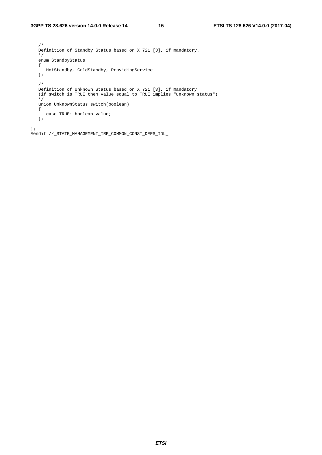/\* Definition of Standby Status based on X.721 [3], if mandatory. \*/ enum StandbyStatus  $\{$  HotStandby, ColdStandby, ProvidingService }; /\*<br>Definition of Unknown Status based on X.721 [3], if mandatory Definition of Unknown Status based on X.721 [3], if mandatory (if switch is TRUE then value equal to TRUE implies "unknown status"). \*/ union UnknownStatus switch(boolean) { case TRUE: boolean value; }; };

#endif //\_STATE\_MANAGEMENT\_IRP\_COMMON\_CONST\_DEFS\_IDL\_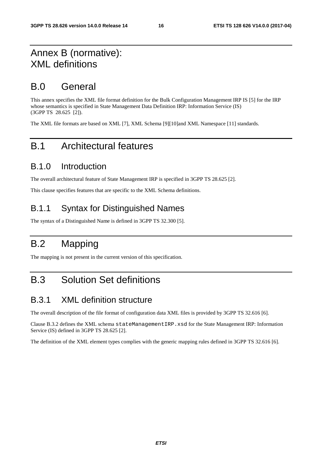#### Annex B (normative): XML definitions

#### B.0 General

This annex specifies the XML file format definition for the Bulk Configuration Management IRP IS [5] for the IRP whose semantics is specified in State Management Data Definition IRP: Information Service (IS) (3GPP TS 28.625 [2]).

The XML file formats are based on XML [7], XML Schema [9][10]and XML Namespace [11] standards.

#### B.1 Architectural features

#### B.1.0 Introduction

The overall architectural feature of State Management IRP is specified in 3GPP TS 28.625 [2].

This clause specifies features that are specific to the XML Schema definitions.

#### B.1.1 Syntax for Distinguished Names

The syntax of a Distinguished Name is defined in 3GPP TS 32.300 [5].

## B.2 Mapping

The mapping is not present in the current version of this specification.

#### B.3 Solution Set definitions

#### B.3.1 XML definition structure

The overall description of the file format of configuration data XML files is provided by 3GPP TS 32.616 [6].

Clause B.3.2 defines the XML schema stateManagementIRP.xsd for the State Management IRP: Information Service (IS) defined in 3GPP TS 28.625 [2].

The definition of the XML element types complies with the generic mapping rules defined in 3GPP TS 32.616 [6].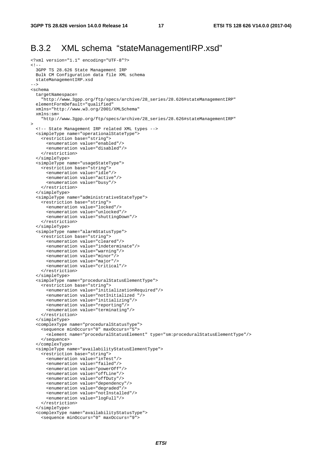#### B.3.2 XML schema "stateManagementIRP.xsd"

```
<?xml version="1.1" encoding="UTF-8"?> 
\leq! - 3GPP TS 28.626 State Management IRP 
  Bulk CM Configuration data file XML schema 
   stateManagementIRP.xsd 
--> 
<schema 
   targetNamespace= 
     "http://www.3gpp.org/ftp/specs/archive/28_series/28.626#stateManagementIRP" 
   elementFormDefault="qualified" 
   xmlns="http://www.w3.org/2001/XMLSchema" 
   xmlns:sm= 
     "http://www.3gpp.org/ftp/specs/archive/28_series/28.626#stateManagementIRP" 
> 
   <!-- State Management IRP related XML types --> 
   <simpleType name="operationalStateType"> 
     <restriction base="string"> 
       <enumeration value="enabled"/> 
       <enumeration value="disabled"/> 
     </restriction> 
   </simpleType> 
   <simpleType name="usageStateType"> 
     <restriction base="string"> 
       <enumeration value="idle"/> 
       <enumeration value="active"/> 
       <enumeration value="busy"/> 
     </restriction> 
   </simpleType> 
   <simpleType name="administrativeStateType"> 
     <restriction base="string"> 
       <enumeration value="locked"/> 
       <enumeration value="unlocked"/> 
       <enumeration value="shuttingDown"/> 
     </restriction> 
   </simpleType> 
   <simpleType name="alarmStatusType"> 
     <restriction base="string"> 
       <enumeration value="cleared"/> 
       <enumeration value="indeterminate"/> 
       <enumeration value="warning"/> 
       <enumeration value="minor"/> 
       <enumeration value="major"/> 
       <enumeration value="critical"/> 
     </restriction> 
   </simpleType> 
   <simpleType name="proceduralStatusElementType"> 
     <restriction base="string"> 
       <enumeration value="initializationRequired"/> 
       <enumeration value="notInitialized "/> 
       <enumeration value="initializing"/> 
       <enumeration value="reporting"/> 
       <enumeration value="terminating"/> 
     </restriction> 
   </simpleType> 
   <complexType name="proceduralStatusType"> 
     <sequence minOccurs="0" maxOccurs="5"> 
       <element name="proceduralStatusElement" type="sm:proceduralStatusElementType"/> 
     </sequence> 
   </complexType> 
   <simpleType name="availabilityStatusElementType"> 
     <restriction base="string"> 
       <enumeration value="inTest"/> 
       <enumeration value="failed"/> 
       <enumeration value="powerOff"/> 
       <enumeration value="offLine"/> 
       <enumeration value="offDuty"/> 
       <enumeration value="dependency"/> 
       <enumeration value="degraded"/> 
       <enumeration value="notInstalled"/> 
       <enumeration value="logFull"/> 
     </restriction> 
   </simpleType> 
   <complexType name="availabilityStatusType"> 
     <sequence minOccurs="0" maxOccurs="9">
```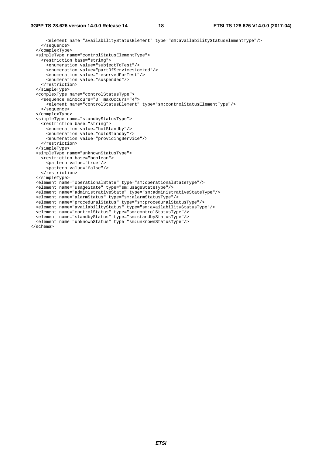<element name="availabilityStatusElement" type="sm:availabilityStatusElementType"/> </sequence> </complexType> <simpleType name="controlStatusElementType"> <restriction base="string"> <enumeration value="subjectToTest"/> <enumeration value="partOfServicesLocked"/> <enumeration value="reservedForTest"/> <enumeration value="suspended"/> </restriction> </simpleType> <complexType name="controlStatusType"> <sequence minOccurs="0" maxOccurs="4"> <element name="controlStatusElement" type="sm:controlStatusElementType"/> </sequence> </complexType> <simpleType name="standbyStatusType"> <restriction base="string"> <enumeration value="hotStandby"/> <enumeration value="coldStandby"/> <enumeration value="providingService"/> </restriction> </simpleType> <simpleType name="unknownStatusType"> <restriction base="boolean"> <pattern value="true"/> <pattern value="false"/> </restriction> </simpleType> <element name="operationalState" type="sm:operationalStateType"/> <element name="usageState" type="sm:usageStateType"/> <element name="administrativeState" type="sm:administrativeStateType"/> <element name="alarmStatus" type="sm:alarmStatusType"/> <element name="proceduralStatus" type="sm:proceduralStatusType"/> <element name="availabilityStatus" type="sm:availabilityStatusType"/> <element name="controlStatus" type="sm:controlStatusType"/> <element name="standbyStatus" type="sm:standbyStatusType"/> <element name="unknownStatus" type="sm:unknownStatusType"/> </schema>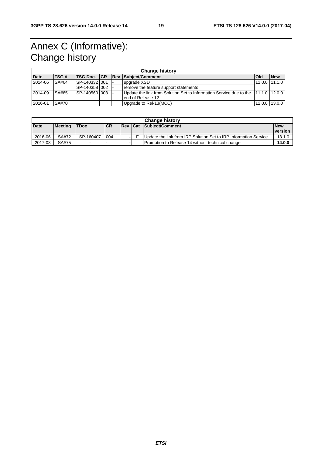## Annex C (Informative): Change history

| <b>Change history</b> |              |                 |  |  |                                                                                   |       |                   |
|-----------------------|--------------|-----------------|--|--|-----------------------------------------------------------------------------------|-------|-------------------|
| <b>Date</b>           | TSG#         |                 |  |  | <b>TSG Doc. ICR IRev   Subject/Comment</b>                                        | l Old | <b>New</b>        |
| 2014-06               | SA#64        | ISP-140332 I001 |  |  | upgrade XSD                                                                       |       | $11.0.0$   11.1.0 |
|                       |              | ISP-140358 002  |  |  | remove the feature support statements                                             |       |                   |
| 2014-09               | SA#65        | ISP-140560 1003 |  |  | Update the link from Solution Set to Information Service due to the 11.1.0 12.0.0 |       |                   |
|                       |              |                 |  |  | lend of Release 12                                                                |       |                   |
| 2016-01               | <b>SA#70</b> |                 |  |  | Upgrade to Rel-13(MCC)                                                            |       | $12.0.0$ 13.0.0   |

| <b>Change history</b> |                |             |            |  |  |                                                                  |            |
|-----------------------|----------------|-------------|------------|--|--|------------------------------------------------------------------|------------|
| <b>Date</b>           | <b>Meeting</b> | <b>TDoc</b> | <b>ICR</b> |  |  | <b>Rev Cat Subject/Comment</b>                                   | <b>New</b> |
|                       |                |             |            |  |  |                                                                  | version    |
| 2016-06               | SA#72          | SP-160407   | 004        |  |  | Update the link from IRP Solution Set to IRP Information Service | 13.1.0     |
| 2017-03               | SA#75          |             |            |  |  | Promotion to Release 14 without technical change                 | 14.0.0     |